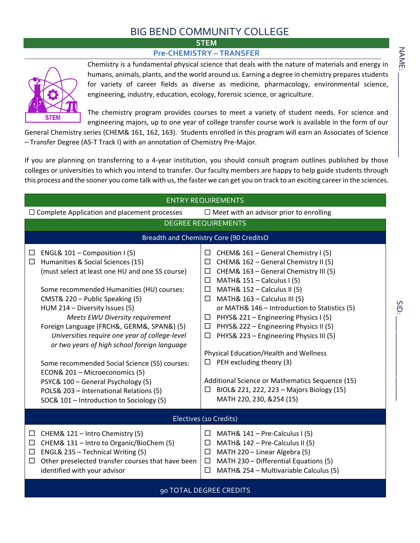## BIG BEND COMMUNITY COLLEGE

## **STEM Pre-CHEMISTRY – TRANSFER**



Chemistry is a fundamental physical science that deals with the nature of materials and energy in humans, animals, plants, and the world around us. Earning a degree in chemistry prepares students for variety of career fields as diverse as medicine, pharmacology, environmental science, engineering, industry, education, ecology, forensic science, or agriculture.

The chemistry program provides courses to meet a variety of student needs. For science and engineering majors, up to one year of college transfer course work is available in the form of our

General Chemistry series (CHEM& 161, 162, 163). Students enrolled in this program will earn an Associates of Science – Transfer Degree (AS-T Track I) with an annotation of Chemistry Pre-Major.

If you are planning on transferring to a 4-year institution, you should consult program outlines published by those colleges or universities to which you intend to transfer. Our faculty members are happy to help guide students through this process and the sooner you come talk with us, the faster we can get you on track to an exciting career in the sciences.

| <b>ENTRY REQUIREMENTS</b>                                                                                                                                                                                                                                                                                                                                                                                                                                                                                                                                                                                                                            |                                                                                                                                                                                                                                                                                                                                                                                                                                                                                                                                                                                                                                                                                            |  |  |  |  |  |
|------------------------------------------------------------------------------------------------------------------------------------------------------------------------------------------------------------------------------------------------------------------------------------------------------------------------------------------------------------------------------------------------------------------------------------------------------------------------------------------------------------------------------------------------------------------------------------------------------------------------------------------------------|--------------------------------------------------------------------------------------------------------------------------------------------------------------------------------------------------------------------------------------------------------------------------------------------------------------------------------------------------------------------------------------------------------------------------------------------------------------------------------------------------------------------------------------------------------------------------------------------------------------------------------------------------------------------------------------------|--|--|--|--|--|
| $\Box$ Complete Application and placement processes                                                                                                                                                                                                                                                                                                                                                                                                                                                                                                                                                                                                  | $\Box$ Meet with an advisor prior to enrolling                                                                                                                                                                                                                                                                                                                                                                                                                                                                                                                                                                                                                                             |  |  |  |  |  |
| <b>DEGREE REQUIREMENTS</b>                                                                                                                                                                                                                                                                                                                                                                                                                                                                                                                                                                                                                           |                                                                                                                                                                                                                                                                                                                                                                                                                                                                                                                                                                                                                                                                                            |  |  |  |  |  |
| Breadth and Chemistry Core (90 CreditsO                                                                                                                                                                                                                                                                                                                                                                                                                                                                                                                                                                                                              |                                                                                                                                                                                                                                                                                                                                                                                                                                                                                                                                                                                                                                                                                            |  |  |  |  |  |
| ENGL& 101 - Composition I (5)<br>ப<br>Humanities & Social Sciences (15)<br>ப<br>(must select at least one HU and one SS course)<br>Some recommended Humanities (HU) courses:<br>CMST& 220 - Public Speaking (5)<br>HUM 214 - Diversity Issues (5)<br>Meets EWU Diversity requirement<br>Foreign Language (FRCH&, GERM&, SPAN&) (5)<br>Universities require one year of college-level<br>or two years of high school foreign language<br>Some recommended Social Science (SS) courses:<br>ECON& 201 - Microeconomics (5)<br>PSYC& 100 - General Psychology (5)<br>POLS& 203 - International Relations (5)<br>SOC& 101 - Introduction to Sociology (5) | $\Box$ CHEM& 161 – General Chemistry I (5)<br>CHEM& 162 - General Chemistry II (5)<br>$\Box$<br>CHEM& 163 - General Chemistry III (5)<br>$\Box$<br>MATH& $151 -$ Calculus I (5)<br>$\Box$<br>$\Box$ MATH& 152 - Calculus II (5)<br>$\Box$ MATH& 163 - Calculus III (5)<br>or MATH& 146 - Introduction to Statistics (5)<br>$\Box$ PHYS& 221 – Engineering Physics I (5)<br>$\Box$ PHYS& 222 – Engineering Physics II (5)<br>$\Box$ PHYS& 223 – Engineering Physics III (5)<br>Physical Education/Health and Wellness<br>$\Box$ PEH excluding theory (3)<br>Additional Science or Mathematics Sequence (15)<br>$\Box$ BIOL& 221, 222, 223 - Majors Biology (15)<br>MATH 220, 230, &254 (15) |  |  |  |  |  |
| Electives (10 Credits)                                                                                                                                                                                                                                                                                                                                                                                                                                                                                                                                                                                                                               |                                                                                                                                                                                                                                                                                                                                                                                                                                                                                                                                                                                                                                                                                            |  |  |  |  |  |
| CHEM& 121 - Intro Chemistry (5)<br>$\Box$<br>CHEM& 131 - Intro to Organic/BioChem (5)<br>$\Box$<br>ENGL& 235 - Technical Writing (5)<br>$\Box$<br>Other preselected transfer courses that have been<br>□<br>identified with your advisor                                                                                                                                                                                                                                                                                                                                                                                                             | MATH& $141$ – Pre-Calculus I (5)<br>$\Box$<br>MATH& 142 - Pre-Calculus II (5)<br>$\Box$<br>MATH 220 - Linear Algebra (5)<br>$\Box$<br>$\Box$ MATH 230 - Differential Equations (5)<br>MATH& 254 - Multivariable Calculus (5)<br>⊔                                                                                                                                                                                                                                                                                                                                                                                                                                                          |  |  |  |  |  |
| 90 TOTAL DEGREE CREDITS                                                                                                                                                                                                                                                                                                                                                                                                                                                                                                                                                                                                                              |                                                                                                                                                                                                                                                                                                                                                                                                                                                                                                                                                                                                                                                                                            |  |  |  |  |  |

 $\blacksquare$ 

SID: \_\_\_\_\_\_\_\_\_\_\_\_\_\_\_\_\_\_\_\_\_

**SID**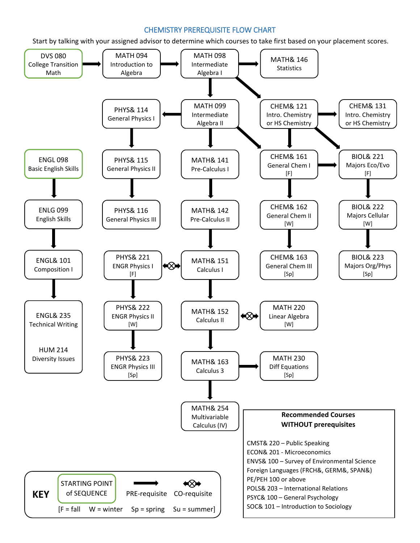## CHEMISTRY PREREQUISITE FLOW CHART

Start by talking with your assigned advisor to determine which courses to take first based on your placement scores.

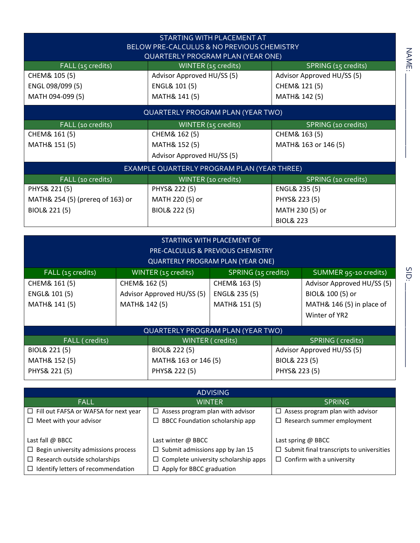| STARTING WITH PLACEMENT AT<br>BELOW PRE-CALCULUS & NO PREVIOUS CHEMISTRY<br><b>QUARTERLY PROGRAM PLAN (YEAR ONE)</b> |                                |                            |  |  |  |
|----------------------------------------------------------------------------------------------------------------------|--------------------------------|----------------------------|--|--|--|
| FALL (15 credits)                                                                                                    | WINTER (15 credits)            | SPRING (15 credits)        |  |  |  |
| CHEM& 105 (5)                                                                                                        | Advisor Approved HU/SS (5)     | Advisor Approved HU/SS (5) |  |  |  |
| ENGL 098/099 (5)                                                                                                     | ENGL& 101 (5)                  | CHEM& 121 (5)              |  |  |  |
| MATH 094-099 (5)                                                                                                     | MATH& 141 (5)<br>MATH& 142 (5) |                            |  |  |  |
| QUARTERLY PROGRAM PLAN (YEAR TWO)                                                                                    |                                |                            |  |  |  |
| FALL (10 credits)                                                                                                    | WINTER (15 credits)            | SPRING (10 credits)        |  |  |  |
| CHEM& 161 (5)                                                                                                        | CHEM& 162 (5)                  | CHEM& 163 (5)              |  |  |  |
| MATH& 151 (5)                                                                                                        | MATH& 152 (5)                  | MATH& 163 or 146 (5)       |  |  |  |
|                                                                                                                      | Advisor Approved HU/SS (5)     |                            |  |  |  |
| EXAMPLE QUARTERLY PROGRAM PLAN (YEAR THREE)                                                                          |                                |                            |  |  |  |
| FALL (10 credits)                                                                                                    | WINTER (10 credits)            | SPRING (10 credits)        |  |  |  |
| PHYS& 221 (5)                                                                                                        | PHYS& 222 (5)                  | ENGL& 235 (5)              |  |  |  |
| MATH& 254 (5) (prereg of 163) or                                                                                     | MATH 220 (5) or                | PHYS& 223 (5)              |  |  |  |
| BIOL& 221 (5)                                                                                                        | BIOL& 222 (5)                  | MATH 230 (5) or            |  |  |  |
|                                                                                                                      |                                | <b>BIOL&amp; 223</b>       |  |  |  |

| STARTING WITH PLACEMENT OF<br>PRE-CALCULUS & PREVIOUS CHEMISTRY |                            |                      |                          |                            |                            |  |
|-----------------------------------------------------------------|----------------------------|----------------------|--------------------------|----------------------------|----------------------------|--|
| <b>QUARTERLY PROGRAM PLAN (YEAR ONE)</b>                        |                            |                      |                          |                            |                            |  |
| FALL (15 credits)                                               | WINTER (15 credits)        |                      | SPRING (15 credits)      |                            | SUMMER 95-10 credits)      |  |
| CHEM& 161 (5)                                                   | CHEM& 162 (5)              |                      | CHEM& 163 (5)            |                            | Advisor Approved HU/SS (5) |  |
| <b>ENGL&amp; 101 (5)</b>                                        | Advisor Approved HU/SS (5) |                      | <b>ENGL&amp; 235 (5)</b> |                            | BIOL& 100 (5) or           |  |
| MATH& 141 (5)                                                   | MATH& 142 (5)              |                      | MATH& 151 (5)            |                            | MATH& 146 (5) in place of  |  |
|                                                                 |                            |                      |                          |                            | Winter of YR2              |  |
| <b>QUARTERLY PROGRAM PLAN (YEAR TWO)</b>                        |                            |                      |                          |                            |                            |  |
| FALL (credits)                                                  | WINTER (credits)           |                      |                          |                            | SPRING (credits)           |  |
| BIOL& 221 (5)                                                   |                            | BIOL& 222 (5)        |                          | Advisor Approved HU/SS (5) |                            |  |
| MATH& 152 (5)                                                   |                            | MATH& 163 or 146 (5) | BIOL& 223 (5)            |                            |                            |  |
| PHYS& 221 (5)                                                   |                            | PHYS& 222 (5)        |                          | PHYS& 223 (5)              |                            |  |

| <b>ADVISING</b>                                                                     |                                         |                                                 |  |  |
|-------------------------------------------------------------------------------------|-----------------------------------------|-------------------------------------------------|--|--|
| <b>FALL</b>                                                                         | <b>WINTER</b>                           | <b>SPRING</b>                                   |  |  |
| $\Box$ Fill out FAFSA or WAFSA for next year                                        | $\Box$ Assess program plan with advisor | $\Box$ Assess program plan with advisor         |  |  |
| $\Box$ Meet with your advisor                                                       | $\Box$ BBCC Foundation scholarship app  |                                                 |  |  |
|                                                                                     |                                         |                                                 |  |  |
| Last fall @ BBCC                                                                    | Last winter @ BBCC                      | Last spring @ BBCC                              |  |  |
| $\Box$ Begin university admissions process                                          | $\Box$ Submit admissions app by Jan 15  | $\Box$ Submit final transcripts to universities |  |  |
| $\Box$ Complete university scholarship apps<br>$\Box$ Research outside scholarships |                                         | $\Box$ Confirm with a university                |  |  |
| $\Box$ Identify letters of recommendation                                           | $\Box$ Apply for BBCC graduation        |                                                 |  |  |

NAME:

 $\blacksquare$